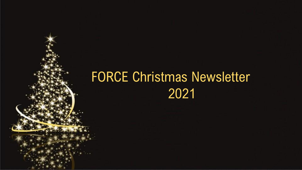## FORCE Christmas Newsletter 2021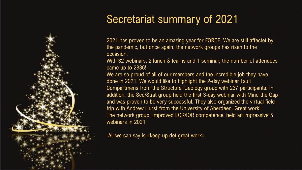## Secretariat summary of 2021

2021 has proven to be an amazing year for FORCE. We are still affectet by the pandemic, but once again, the network groups has risen to the occasion.

With 32 webinars, 2 lunch & learns and 1 seminar, the number of attendees came up to 2836!

We are so proud of all of our members and the incredible job they have done in 2021. We would like to highlight the 2-day webinar Fault Compartmens from the Structural Geology group with 237 participants. In addition, the Sed/Strat group held the first 3-day webinar with Mind the Gap and was proven to be very successful. They also organized the virtual field trip with Andrew Hurst from the University of Aberdeen. Great work! The network group, Improved EOR/IOR competence, held an impressive 5 webinars in 2021.

All we can say is «keep up det great work».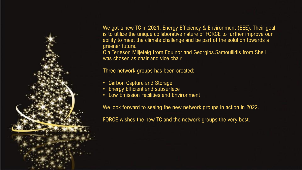

We got a new TC in 2021, Energy Efficiency & Environment (EEE). Their goal is to utilize the unique collaborative nature of FORCE to further improve our ability to meet the climate challenge and be part of the solution towards a greener future.

Ola Terjeson Miljeteig from Equinor and Georgios.Samouilidis from Shell was chosen as chair and vice chair.

Three network groups has been created:

- Carbon Capture and Storage
- Energy Efficient and subsurface
- Low Emission Facilities and Environment

We look forward to seeing the new network groups in action in 2022.

FORCE wishes the new TC and the network groups the very best.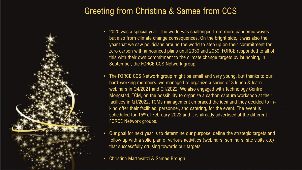#### Greeting from Christina & Samee from CCS



- 2020 was a special year! The world was challenged from more pandemic waves but also from climate change consequences. On the bright side, it was also the year that we saw politicians around the world to step up on their commitment for zero carbon with announced plans until 2030 and 2050. FORCE responded to all of this with their own commitment to the climate change targets by launching, in September, the FORCE CCS Network group!
- The FORCE CCS Network group might be small and very young, but thanks to our hard-working members, we managed to organize a series of 3 lunch & learn webinars in Q4/2021 and Q1/2022. We also engaged with Technology Centre Mongstad, TCM, on the possibility to organize a carbon capture workshop at their facilities in Q1/2022. TCMs management embraced the idea and they decided to inkind offer their facilities, personnel, and catering, for the event. The event is scheduled for 15<sup>th</sup> of February 2022 and it is already advertised at the different FORCE Network groups.
- Our goal for next year is to determine our purpose, define the strategic targets and follow up with a solid plan of various activities (webinars, seminars, site visits etc) that successfully cruising towards our targets.
- Christina Martavaltzi & Samee Brough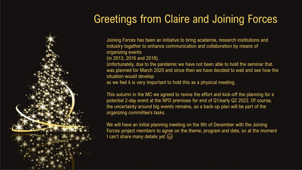## Greetings from Claire and Joining Forces

Joining Forces has been an initiative to bring academia, research institutions and industry together to enhance communication and collaboration by means of organizing events

(in 2013, 2016 and 2018).

Unfortunately, due to the pandemic we have not been able to hold the seminar that was planned for March 2020 and since then we have decided to wait and see how the situation would develop

as we feel it is very important to hold this as a physical meeting.

This autumn in the MC we agreed to revive the effort and kick-off the planning for a potential 2-day event at the NPD premises for end of Q1/early Q2 2022. Of course, the uncertainty around big events remains, so a back-up plan will be part of the organizing committee's tasks.

We will have an initial planning meeting on the 9th of December with the Joining Forces project members to agree on the theme, program and date, so at the moment I can't share many details yet  $\odot$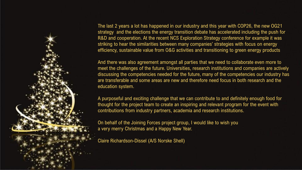

The last 2 years a lot has happened in our industry and this year with COP26, the new OG21 strategy and the elections the energy transition debate has accelerated including the push for R&D and cooperation. At the recent NCS Exploration Strategy conference for example it was striking to hear the similarities between many companies' strategies with focus on energy efficiency, sustainable value from O&G activities and transitioning to green energy products

And there was also agreement amongst all parties that we need to collaborate even more to meet the challenges of the future. Universities, research institutions and companies are actively discussing the competencies needed for the future, many of the competencies our industry has are transferable and some areas are new and therefore need focus in both research and the education system.

A purposeful and exciting challenge that we can contribute to and definitely enough food for thought for the project team to create an inspiring and relevant program for the event with contributions from industry partners, academia and research institutions.

On behalf of the Joining Forces project group, I would like to wish you a very merry Christmas and a Happy New Year.

Claire Richardson-Dissel (A/S Norske Shell)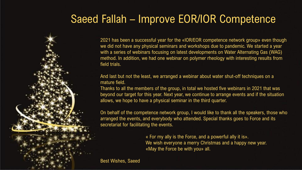#### Saeed Fallah – Improve EOR/IOR Competence

2021 has been a successful year for the «IOR/EOR competence network group» even though we did not have any physical seminars and workshops due to pandemic. We started a year with a series of webinars focusing on latest developments on Water Alternating Gas (WAG) method. In addition, we had one webinar on polymer rheology with interesting results from field trials.

And last but not the least, we arranged a webinar about water shut-off techniques on a mature field.

Thanks to all the members of the group, in total we hosted five webinars in 2021 that was beyond our target for this year. Next year, we continue to arrange events and if the situation allows, we hope to have a physical seminar in the third quarter.

On behalf of the competence network group, I would like to thank all the speakers, those who arranged the events, and everybody who attended. Special thanks goes to Force and its secretariat for facilitating the events.

> « For my ally is the Force, and a powerful ally it is». We wish everyone a merry Christmas and a happy new year. «May the Force be with you» all.

Best Wishes, Saeed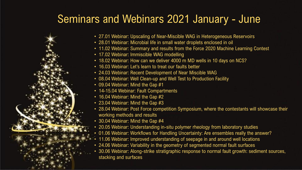#### Seminars and Webinars 2021 January - June

- 27.01 Webinar: Upscaling of Near-Miscible WAG in Heterogeneous Reservoirs
- 28.01 Webinar: Microbial life in small water droplets enclosed in oil
- 11.02 Webinar: Summary and results from the Force 2020 Machine Learning Contest
- 17.02 Webinar: Immiscible WAG modelling
- 18.02 Webinar: How can we deliver 4000 m MD wells in 10 days on NCS?
- 16.03 Webinar: Let's learn to treat our faults better
- 24.03 Webinar: Recent Development of Near Miscible WAG
- 08.04 Webinar: Well Clean-up and Well Test to Production Facility
- 09.04 Webinar: Mind the Gap #1
- 14-15.04 Webinar: Fault Compartments
- 16.04 Webinar: Mind the Gap #2
- 23.04 Webinar: Mind the Gap #3
- 28.04 Webinar: Post Force competition Symposium, where the contestants will showcase their working methods and results
- 30.04 Webinar: Mind the Gap #4
- 20.05 Webinar: Understanding in-situ polymer rheology from laboratory studies
- 01.06 Webinar: Workflows for Handling Uncertainty: Are ensembles really the answer?
- 11.06 Webinar: Improved understanding of seepage in and around well locations
- 24.06 Webinar: Variability in the geometry of segmented normal fault surfaces
- 30.06 Webinar: Along-strike stratigraphic response to normal fault growth: sediment sources, stacking and surfaces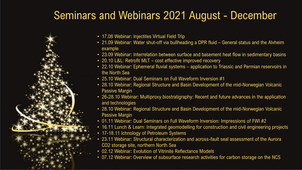#### Seminars and Webinars 2021 August - December



- 21.09 Webinar: Water shut-off via bullheading a DPR fluid General status and the Alvheim example
- 23.09 Webinar: Interrelation between surface and basement heat flow in sedimentary basins
- 20.10 L&L: Retrofit MLT cost effective improved recovery
- 22.10 Webinar: Ephemeral fluvial systems application to Triassic and Permian reservoirs in the North Sea
- 25.10 Webinar: Dual Seminars on Full Waveform Inversion #1
- 28.10 Webinar: Regional Structure and Basin Development of the mid-Norwegian Volcanic Passive Margin
- 26-28.10 Webinar: Multiproxy biostratigraphy: Recent and future advances in the application and technologies
- 28.10 Webinar: Regional Structure and Basin Development of the mid-Norwegian Volcanic Passive Margin
- 01.11 Webinar: Dual Seminars on Full Waveform Inversion: Impressions of FWI #2
- 16.11 Lunch & Learn: Integrated geomodelling for construction and civil engineering projects
- 17-18.11 Ichnology of Petroleum Systems
- 23.11 Webinar: Structural characterization and across-fault seal assessment of the Aurora CO2 storage site, northern North Sea
- 02.12 Webinar: Evolution of Vitrinite Reflectance Models
- 07.12 Webinar: Overview of subsurface research activities for carbon storage on the NCS